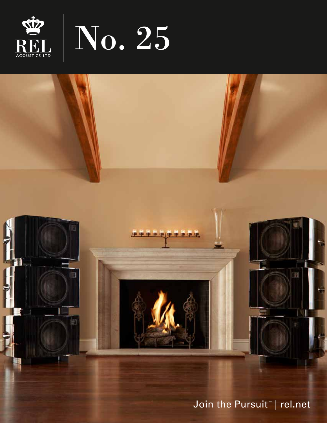



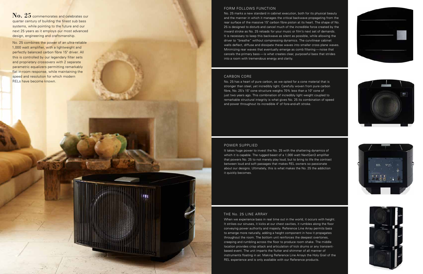# FORM FOLLOWS FUNCTION

No. 25 marks a new standard in cabinet execution, both for its physical beauty and the manner in which it manages the critical backwave propagating from the rear surface of the massive 15" carbon fibre piston at its heart. The shape of No. 25 is designed to disturb and cancel much of the incredible force created by the inward stroke as No. 25 reloads for your music or film's next set of demands. It is necessary to keep this backwave as silent as possible, while allowing the driver to "breathe" without compressing dynamics. The curvilinear cabinet walls deflect, diffuse and dissipate these waves into smaller cross plane waves. Minimizing rear waves that eventually emerge as comb filtering—noise that cancels the primary bass—is what creates clear, purposeful bass that strides into a room with tremendous energy and clarity.

It takes huge power to invest the No. 25 with the shattering dynamics of which it is capable. The rugged beast of a 1,000 watt NextGen3 amplifier that powers No. 25 to not merely play loud, but to bring to life the contrast between loud and soft passages that makes REL owners so passionate about our designs. Ultimately, this is what makes the No. 25 the addiction it quickly becomes.

# CARBON CORE

No. 25 has a heart of pure carbon, as we opted for a cone material that is stronger than steel, yet incredibly light. Carefully woven from pure carbon fibre, No. 25's 15" cone structure weighs 70% less than a 10" cone of just two years ago. This combination of incredibly light weight coupled to remarkable structural integrity is what gives No. 25 its combination of speed and power throughout its incredible 4" of fore-and-aft stroke.

### POWER SUPPLIED

No. 25 commemorates and celebrates our quarter century of building the finest sub bass systems, while pointing to the future and our next 25 years as it employs our most advanced design, engineering and craftsmanship.

## THE No. 25 LINE ARRAY

FIED

When we experience bass in real time out in the world, it occurs with height. It strikes our sinuses, it kicks at our chest cavities, it rumbles along the floor conveying power authority and majesty. Reference Line Array permits bass to emerge more naturally, adding a height component in how it propagates throughout the room. The bottom unit reinforces the deepest overtones, creeping and rumbling across the floor to produce room shake. The middle location provides crisp attack and articulation of kick drums or any transientbased event. The unit imparts the flutter and shimmer of all manner of instruments floating in air. Making Reference Line Arrays the Holy Grail of the REL experience and is only available with our Reference products.









No. 25 combines the power of an ultra-reliable 1,000 watt amplifier, with a lightweight and perfectly balanced carbon fibre 15" driver. All this is controlled by our legendary filter sets and proprietary crossovers with 2 separate parametric equalizers permitting remarkably flat in-room response, while maintaining the speed and resolution for which modern RELs have become known.